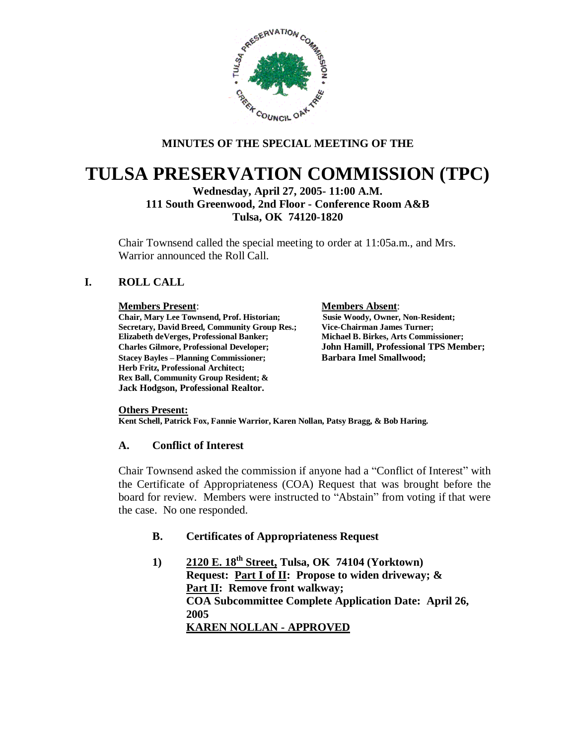

# **MINUTES OF THE SPECIAL MEETING OF THE**

# **TULSA PRESERVATION COMMISSION (TPC)**

# **Wednesday, April 27, 2005- 11:00 A.M. 111 South Greenwood, 2nd Floor - Conference Room A&B Tulsa, OK 74120-1820**

Chair Townsend called the special meeting to order at 11:05a.m., and Mrs. Warrior announced the Roll Call.

# **I. ROLL CALL**

#### **Members Present**: **Members Absent**:

**Chair, Mary Lee Townsend, Prof. Historian; Susie Woody, Owner, Non-Resident; Secretary, David Breed, Community Group Res.; Vice-Chairman James Turner; Elizabeth deVerges, Professional Banker; Michael B. Birkes, Arts Commissioner; Charles Gilmore, Professional Developer; John Hamill, Professional TPS Member; Stacey Bayles – Planning Commissioner; Barbara Imel Smallwood; Herb Fritz, Professional Architect; Rex Ball, Community Group Resident; & Jack Hodgson, Professional Realtor.**

**Others Present: Kent Schell, Patrick Fox, Fannie Warrior, Karen Nollan, Patsy Bragg, & Bob Haring.**

## **A. Conflict of Interest**

Chair Townsend asked the commission if anyone had a "Conflict of Interest" with the Certificate of Appropriateness (COA) Request that was brought before the board for review. Members were instructed to "Abstain" from voting if that were the case. No one responded.

# **B. Certificates of Appropriateness Request**

**1) 2120 E. 18th Street, Tulsa, OK 74104 (Yorktown) Request: Part I of II: Propose to widen driveway; & Part II: Remove front walkway; COA Subcommittee Complete Application Date: April 26, 2005 KAREN NOLLAN - APPROVED**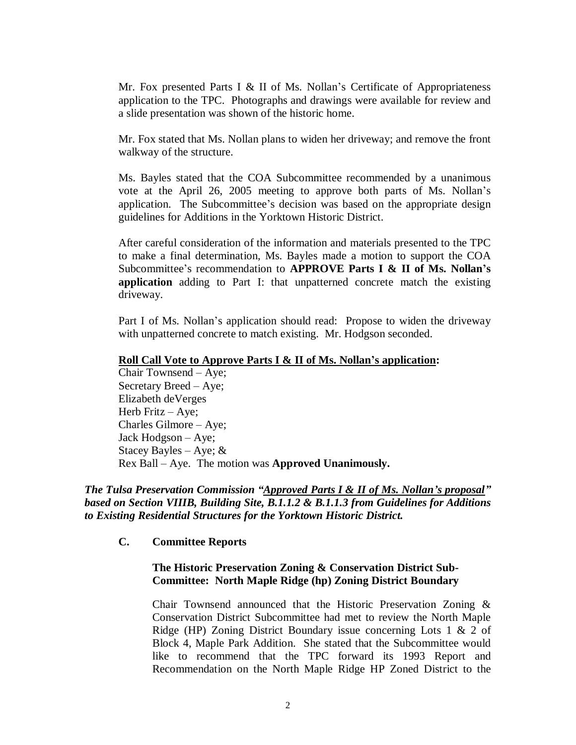Mr. Fox presented Parts I & II of Ms. Nollan's Certificate of Appropriateness application to the TPC. Photographs and drawings were available for review and a slide presentation was shown of the historic home.

Mr. Fox stated that Ms. Nollan plans to widen her driveway; and remove the front walkway of the structure.

Ms. Bayles stated that the COA Subcommittee recommended by a unanimous vote at the April 26, 2005 meeting to approve both parts of Ms. Nollan's application. The Subcommittee's decision was based on the appropriate design guidelines for Additions in the Yorktown Historic District.

After careful consideration of the information and materials presented to the TPC to make a final determination, Ms. Bayles made a motion to support the COA Subcommittee's recommendation to **APPROVE Parts I & II of Ms. Nollan's application** adding to Part I: that unpatterned concrete match the existing driveway.

Part I of Ms. Nollan's application should read: Propose to widen the driveway with unpatterned concrete to match existing. Mr. Hodgson seconded.

#### **Roll Call Vote to Approve Parts I & II of Ms. Nollan's application:**

Chair Townsend – Aye; Secretary Breed – Aye; Elizabeth deVerges Herb Fritz – Aye; Charles Gilmore – Aye; Jack Hodgson – Aye; Stacey Bayles – Aye;  $&$ Rex Ball – Aye. The motion was **Approved Unanimously.**

*The Tulsa Preservation Commission "Approved Parts I & II of Ms. Nollan's proposal" based on Section VIIIB, Building Site, B.1.1.2 & B.1.1.3 from Guidelines for Additions to Existing Residential Structures for the Yorktown Historic District.*

**C. Committee Reports**

#### **The Historic Preservation Zoning & Conservation District Sub-Committee: North Maple Ridge (hp) Zoning District Boundary**

Chair Townsend announced that the Historic Preservation Zoning & Conservation District Subcommittee had met to review the North Maple Ridge (HP) Zoning District Boundary issue concerning Lots 1 & 2 of Block 4, Maple Park Addition. She stated that the Subcommittee would like to recommend that the TPC forward its 1993 Report and Recommendation on the North Maple Ridge HP Zoned District to the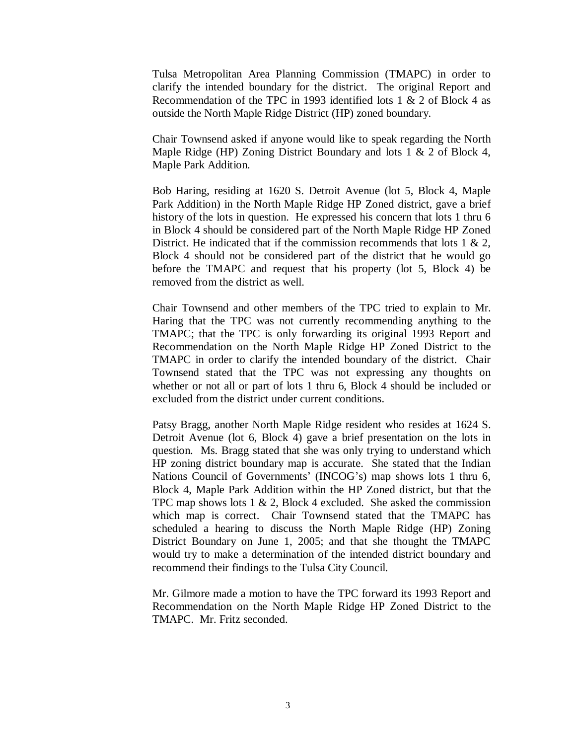Tulsa Metropolitan Area Planning Commission (TMAPC) in order to clarify the intended boundary for the district. The original Report and Recommendation of the TPC in 1993 identified lots 1 & 2 of Block 4 as outside the North Maple Ridge District (HP) zoned boundary.

Chair Townsend asked if anyone would like to speak regarding the North Maple Ridge (HP) Zoning District Boundary and lots 1 & 2 of Block 4, Maple Park Addition.

Bob Haring, residing at 1620 S. Detroit Avenue (lot 5, Block 4, Maple Park Addition) in the North Maple Ridge HP Zoned district, gave a brief history of the lots in question. He expressed his concern that lots 1 thru 6 in Block 4 should be considered part of the North Maple Ridge HP Zoned District. He indicated that if the commission recommends that lots  $1 \& 2$ , Block 4 should not be considered part of the district that he would go before the TMAPC and request that his property (lot 5, Block 4) be removed from the district as well.

Chair Townsend and other members of the TPC tried to explain to Mr. Haring that the TPC was not currently recommending anything to the TMAPC; that the TPC is only forwarding its original 1993 Report and Recommendation on the North Maple Ridge HP Zoned District to the TMAPC in order to clarify the intended boundary of the district. Chair Townsend stated that the TPC was not expressing any thoughts on whether or not all or part of lots 1 thru 6, Block 4 should be included or excluded from the district under current conditions.

Patsy Bragg, another North Maple Ridge resident who resides at 1624 S. Detroit Avenue (lot 6, Block 4) gave a brief presentation on the lots in question. Ms. Bragg stated that she was only trying to understand which HP zoning district boundary map is accurate. She stated that the Indian Nations Council of Governments' (INCOG's) map shows lots 1 thru 6, Block 4, Maple Park Addition within the HP Zoned district, but that the TPC map shows lots 1 & 2, Block 4 excluded. She asked the commission which map is correct. Chair Townsend stated that the TMAPC has scheduled a hearing to discuss the North Maple Ridge (HP) Zoning District Boundary on June 1, 2005; and that she thought the TMAPC would try to make a determination of the intended district boundary and recommend their findings to the Tulsa City Council.

Mr. Gilmore made a motion to have the TPC forward its 1993 Report and Recommendation on the North Maple Ridge HP Zoned District to the TMAPC. Mr. Fritz seconded.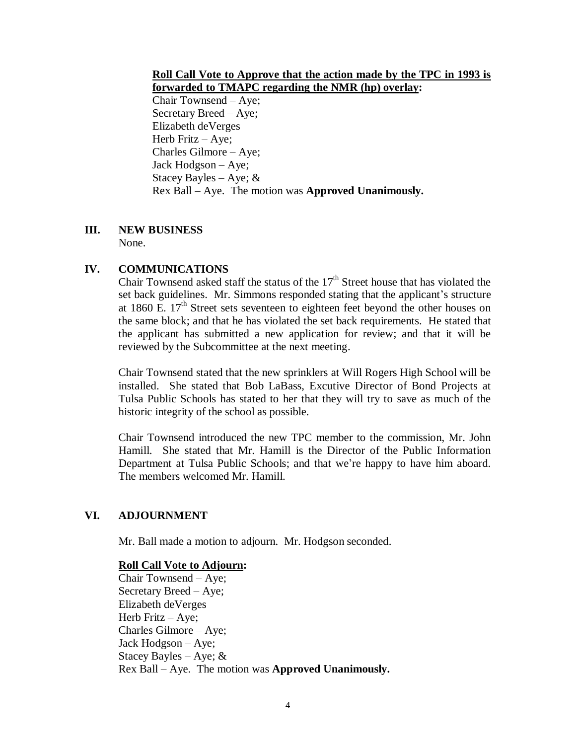#### **Roll Call Vote to Approve that the action made by the TPC in 1993 is forwarded to TMAPC regarding the NMR (hp) overlay:**

Chair Townsend – Aye; Secretary Breed – Aye; Elizabeth deVerges Herb Fritz – Aye; Charles Gilmore – Aye; Jack Hodgson – Aye; Stacey Bayles – Aye;  $\&$ Rex Ball – Aye. The motion was **Approved Unanimously.**

## **III. NEW BUSINESS**

None.

## **IV. COMMUNICATIONS**

Chair Townsend asked staff the status of the  $17<sup>th</sup>$  Street house that has violated the set back guidelines. Mr. Simmons responded stating that the applicant's structure at 1860 E.  $17<sup>th</sup>$  Street sets seventeen to eighteen feet beyond the other houses on the same block; and that he has violated the set back requirements. He stated that the applicant has submitted a new application for review; and that it will be reviewed by the Subcommittee at the next meeting.

Chair Townsend stated that the new sprinklers at Will Rogers High School will be installed. She stated that Bob LaBass, Excutive Director of Bond Projects at Tulsa Public Schools has stated to her that they will try to save as much of the historic integrity of the school as possible.

Chair Townsend introduced the new TPC member to the commission, Mr. John Hamill. She stated that Mr. Hamill is the Director of the Public Information Department at Tulsa Public Schools; and that we're happy to have him aboard. The members welcomed Mr. Hamill.

## **VI. ADJOURNMENT**

Mr. Ball made a motion to adjourn. Mr. Hodgson seconded.

#### **Roll Call Vote to Adjourn:**

Chair Townsend – Aye; Secretary Breed – Aye; Elizabeth deVerges Herb Fritz – Aye; Charles Gilmore – Aye; Jack Hodgson – Aye; Stacey Bayles – Aye;  $&$ Rex Ball – Aye. The motion was **Approved Unanimously.**